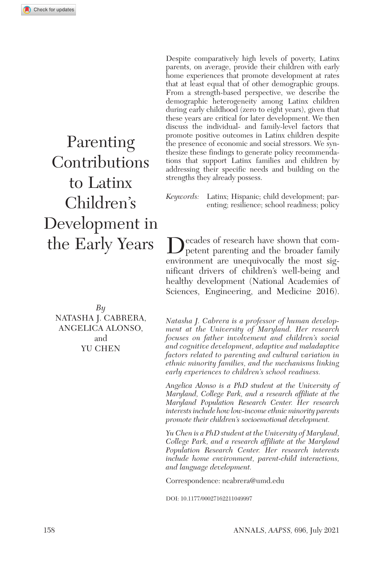Parenting **Contributions** to Latinx Children's Development in the Early Years

*By* Natasha J. Cabrera, Angelica Alonso, and YU CHEN

Despite comparatively high levels of poverty, Latinx parents, on average, provide their children with early home experiences that promote development at rates that at least equal that of other demographic groups. From a strength-based perspective, we describe the demographic heterogeneity among Latinx children during early childhood (zero to eight years), given that these years are critical for later development. We then discuss the individual- and family-level factors that promote positive outcomes in Latinx children despite the presence of economic and social stressors. We synthesize these findings to generate policy recommendations that support Latinx families and children by addressing their specific needs and building on the strengths they already possess.

*Keywords:* Latinx; Hispanic; child development; parenting; resilience; school readiness; policy

Decades of research have shown that com-petent parenting and the broader family environment are unequivocally the most significant drivers of children's well-being and healthy development (National Academies of Sciences, Engineering, and Medicine 2016).

*Natasha J. Cabrera is a professor of human development at the University of Maryland. Her research focuses on father involvement and children's social and cognitive development, adaptive and maladaptive factors related to parenting and cultural variation in ethnic minority families, and the mechanisms linking early experiences to children's school readiness.*

*Angelica Alonso is a PhD student at the University of Maryland, College Park, and a research affiliate at the Maryland Population Research Center. Her research interests include how low-income ethnic minority parents promote their children's socioemotional development.*

*Yu Chen is a PhD student at the University of Maryland, College Park, and a research affiliate at the Maryland Population Research Center. Her research interests include home environment, parent-child interactions, and language development.*

Correspondence: [ncabrera@umd.edu](mailto:ncabrera@umd.edu)

DOI: 10.1177/00027162211049997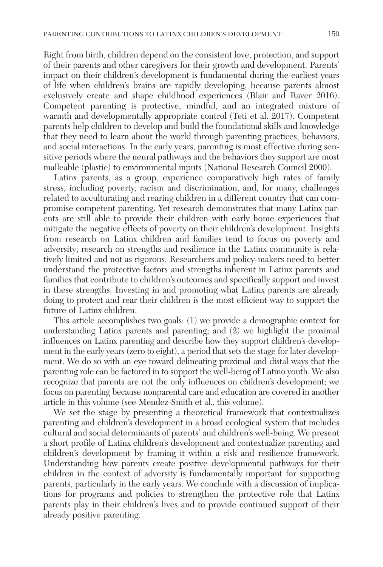Right from birth, children depend on the consistent love, protection, and support of their parents and other caregivers for their growth and development. Parents' impact on their children's development is fundamental during the earliest years of life when children's brains are rapidly developing, because parents almost exclusively create and shape childhood experiences (Blair and Raver 2016). Competent parenting is protective, mindful, and an integrated mixture of warmth and developmentally appropriate control (Teti et al. 2017). Competent parents help children to develop and build the foundational skills and knowledge that they need to learn about the world through parenting practices, behaviors, and social interactions. In the early years, parenting is most effective during sensitive periods where the neural pathways and the behaviors they support are most malleable (plastic) to environmental inputs (National Research Council 2000).

Latinx parents, as a group, experience comparatively high rates of family stress, including poverty, racism and discrimination, and, for many, challenges related to acculturating and rearing children in a different country that can compromise competent parenting. Yet research demonstrates that many Latinx parents are still able to provide their children with early home experiences that mitigate the negative effects of poverty on their children's development. Insights from research on Latinx children and families tend to focus on poverty and adversity; research on strengths and resilience in the Latinx community is relatively limited and not as rigorous. Researchers and policy-makers need to better understand the protective factors and strengths inherent in Latinx parents and families that contribute to children's outcomes and specifically support and invest in these strengths. Investing in and promoting what Latinx parents are already doing to protect and rear their children is the most efficient way to support the future of Latinx children.

This article accomplishes two goals: (1) we provide a demographic context for understanding Latinx parents and parenting; and (2) we highlight the proximal influences on Latinx parenting and describe how they support children's development in the early years (zero to eight), a period that sets the stage for later development. We do so with an eye toward delineating proximal and distal ways that the parenting role can be factored in to support the well-being of Latino youth. We also recognize that parents are not the only influences on children's development; we focus on parenting because nonparental care and education are covered in another article in this volume (see Mendez-Smith et al., this volume).

We set the stage by presenting a theoretical framework that contextualizes parenting and children's development in a broad ecological system that includes cultural and social determinants of parents' and children's well-being. We present a short profile of Latinx children's development and contextualize parenting and children's development by framing it within a risk and resilience framework. Understanding how parents create positive developmental pathways for their children in the context of adversity is fundamentally important for supporting parents, particularly in the early years. We conclude with a discussion of implications for programs and policies to strengthen the protective role that Latinx parents play in their children's lives and to provide continued support of their already positive parenting.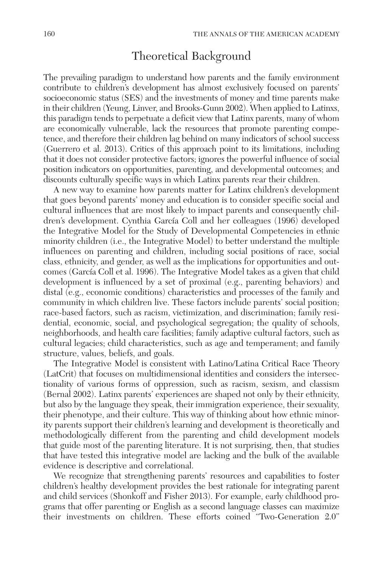# Theoretical Background

The prevailing paradigm to understand how parents and the family environment contribute to children's development has almost exclusively focused on parents' socioeconomic status (SES) and the investments of money and time parents make in their children (Yeung, Linver, and Brooks-Gunn 2002). When applied to Latinxs, this paradigm tends to perpetuate a deficit view that Latinx parents, many of whom are economically vulnerable, lack the resources that promote parenting competence, and therefore their children lag behind on many indicators of school success (Guerrero et al. 2013). Critics of this approach point to its limitations, including that it does not consider protective factors; ignores the powerful influence of social position indicators on opportunities, parenting, and developmental outcomes; and discounts culturally specific ways in which Latinx parents rear their children.

A new way to examine how parents matter for Latinx children's development that goes beyond parents' money and education is to consider specific social and cultural influences that are most likely to impact parents and consequently children's development. Cynthia García Coll and her colleagues (1996) developed the Integrative Model for the Study of Developmental Competencies in ethnic minority children (i.e., the Integrative Model) to better understand the multiple influences on parenting and children, including social positions of race, social class, ethnicity, and gender, as well as the implications for opportunities and outcomes (García Coll et al. 1996). The Integrative Model takes as a given that child development is influenced by a set of proximal (e.g., parenting behaviors) and distal (e.g., economic conditions) characteristics and processes of the family and community in which children live. These factors include parents' social position; race-based factors, such as racism, victimization, and discrimination; family residential, economic, social, and psychological segregation; the quality of schools, neighborhoods, and health care facilities; family adaptive cultural factors, such as cultural legacies; child characteristics, such as age and temperament; and family structure, values, beliefs, and goals.

The Integrative Model is consistent with Latino/Latina Critical Race Theory (LatCrit) that focuses on multidimensional identities and considers the intersectionality of various forms of oppression, such as racism, sexism, and classism (Bernal 2002). Latinx parents' experiences are shaped not only by their ethnicity, but also by the language they speak, their immigration experience, their sexuality, their phenotype, and their culture. This way of thinking about how ethnic minority parents support their children's learning and development is theoretically and methodologically different from the parenting and child development models that guide most of the parenting literature. It is not surprising, then, that studies that have tested this integrative model are lacking and the bulk of the available evidence is descriptive and correlational.

We recognize that strengthening parents' resources and capabilities to foster children's healthy development provides the best rationale for integrating parent and child services (Shonkoff and Fisher 2013). For example, early childhood programs that offer parenting or English as a second language classes can maximize their investments on children. These efforts coined "Two-Generation 2.0"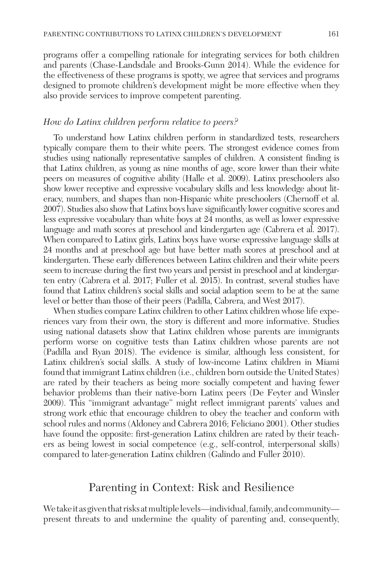programs offer a compelling rationale for integrating services for both children and parents (Chase-Landsdale and Brooks-Gunn 2014). While the evidence for the effectiveness of these programs is spotty, we agree that services and programs designed to promote children's development might be more effective when they also provide services to improve competent parenting.

#### *How do Latinx children perform relative to peers?*

To understand how Latinx children perform in standardized tests, researchers typically compare them to their white peers. The strongest evidence comes from studies using nationally representative samples of children. A consistent finding is that Latinx children, as young as nine months of age, score lower than their white peers on measures of cognitive ability (Halle et al. 2009). Latinx preschoolers also show lower receptive and expressive vocabulary skills and less knowledge about literacy, numbers, and shapes than non-Hispanic white preschoolers (Chernoff et al. 2007). Studies also show that Latinx boys have significantly lower cognitive scores and less expressive vocabulary than white boys at 24 months, as well as lower expressive language and math scores at preschool and kindergarten age (Cabrera et al. 2017). When compared to Latinx girls, Latinx boys have worse expressive language skills at 24 months and at preschool age but have better math scores at preschool and at kindergarten. These early differences between Latinx children and their white peers seem to increase during the first two years and persist in preschool and at kindergarten entry (Cabrera et al. 2017; Fuller et al. 2015). In contrast, several studies have found that Latinx children's social skills and social adaption seem to be at the same level or better than those of their peers (Padilla, Cabrera, and West 2017).

When studies compare Latinx children to other Latinx children whose life experiences vary from their own, the story is different and more informative. Studies using national datasets show that Latinx children whose parents are immigrants perform worse on cognitive tests than Latinx children whose parents are not (Padilla and Ryan 2018). The evidence is similar, although less consistent, for Latinx children's social skills. A study of low-income Latinx children in Miami found that immigrant Latinx children (i.e., children born outside the United States) are rated by their teachers as being more socially competent and having fewer behavior problems than their native-born Latinx peers (De Feyter and Winsler 2009). This "immigrant advantage" might reflect immigrant parents' values and strong work ethic that encourage children to obey the teacher and conform with school rules and norms (Aldoney and Cabrera 2016; Feliciano 2001). Other studies have found the opposite: first-generation Latinx children are rated by their teachers as being lowest in social competence (e.g., self-control, interpersonal skills) compared to later-generation Latinx children (Galindo and Fuller 2010).

## Parenting in Context: Risk and Resilience

We take it as given that risks at multiple levels—individual, family, and community present threats to and undermine the quality of parenting and, consequently,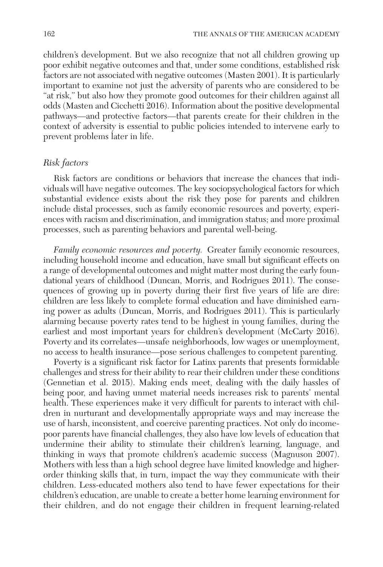children's development. But we also recognize that not all children growing up poor exhibit negative outcomes and that, under some conditions, established risk factors are not associated with negative outcomes (Masten 2001). It is particularly important to examine not just the adversity of parents who are considered to be "at risk," but also how they promote good outcomes for their children against all odds (Masten and Cicchetti 2016). Information about the positive developmental pathways—and protective factors—that parents create for their children in the context of adversity is essential to public policies intended to intervene early to prevent problems later in life.

#### *Risk factors*

Risk factors are conditions or behaviors that increase the chances that individuals will have negative outcomes. The key sociopsychological factors for which substantial evidence exists about the risk they pose for parents and children include distal processes, such as family economic resources and poverty, experiences with racism and discrimination, and immigration status; and more proximal processes, such as parenting behaviors and parental well-being.

*Family economic resources and poverty.* Greater family economic resources, including household income and education, have small but significant effects on a range of developmental outcomes and might matter most during the early foundational years of childhood (Duncan, Morris, and Rodrigues 2011). The consequences of growing up in poverty during their first five years of life are dire: children are less likely to complete formal education and have diminished earning power as adults (Duncan, Morris, and Rodrigues 2011). This is particularly alarming because poverty rates tend to be highest in young families, during the earliest and most important years for children's development (McCarty 2016). Poverty and its correlates—unsafe neighborhoods, low wages or unemployment, no access to health insurance—pose serious challenges to competent parenting.

Poverty is a significant risk factor for Latinx parents that presents formidable challenges and stress for their ability to rear their children under these conditions (Gennetian et al. 2015). Making ends meet, dealing with the daily hassles of being poor, and having unmet material needs increases risk to parents' mental health. These experiences make it very difficult for parents to interact with children in nurturant and developmentally appropriate ways and may increase the use of harsh, inconsistent, and coercive parenting practices. Not only do incomepoor parents have financial challenges, they also have low levels of education that undermine their ability to stimulate their children's learning, language, and thinking in ways that promote children's academic success (Magnuson 2007). Mothers with less than a high school degree have limited knowledge and higherorder thinking skills that, in turn, impact the way they communicate with their children. Less-educated mothers also tend to have fewer expectations for their children's education, are unable to create a better home learning environment for their children, and do not engage their children in frequent learning-related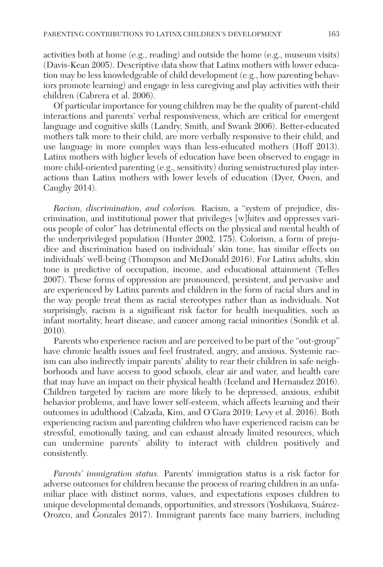activities both at home (e.g., reading) and outside the home (e.g., museum visits) (Davis-Kean 2005). Descriptive data show that Latinx mothers with lower education may be less knowledgeable of child development (e.g., how parenting behaviors promote learning) and engage in less caregiving and play activities with their children (Cabrera et al. 2006).

Of particular importance for young children may be the quality of parent-child interactions and parents' verbal responsiveness, which are critical for emergent language and cognitive skills (Landry, Smith, and Swank 2006). Better-educated mothers talk more to their child, are more verbally responsive to their child, and use language in more complex ways than less-educated mothers (Hoff 2013). Latinx mothers with higher levels of education have been observed to engage in more child-oriented parenting (e.g., sensitivity) during semistructured play interactions than Latinx mothers with lower levels of education (Dyer, Owen, and Caughy 2014).

*Racism, discrimination, and colorism.* Racism, a "system of prejudice, discrimination, and institutional power that privileges [w]hites and oppresses various people of color" has detrimental effects on the physical and mental health of the underprivileged population (Hunter 2002, 175). Colorism, a form of prejudice and discrimination based on individuals' skin tone, has similar effects on individuals' well-being (Thompson and McDonald 2016). For Latinx adults, skin tone is predictive of occupation, income, and educational attainment (Telles 2007). These forms of oppression are pronounced, persistent, and pervasive and are experienced by Latinx parents and children in the form of racial slurs and in the way people treat them as racial stereotypes rather than as individuals. Not surprisingly, racism is a significant risk factor for health inequalities, such as infant mortality, heart disease, and cancer among racial minorities (Sondik et al. 2010).

Parents who experience racism and are perceived to be part of the "out-group" have chronic health issues and feel frustrated, angry, and anxious. Systemic racism can also indirectly impair parents' ability to rear their children in safe neighborhoods and have access to good schools, clear air and water, and health care that may have an impact on their physical health (Iceland and Hernandez 2016). Children targeted by racism are more likely to be depressed, anxious, exhibit behavior problems, and have lower self-esteem, which affects learning and their outcomes in adulthood (Calzada, Kim, and O'Gara 2019; Levy et al. 2016). Both experiencing racism and parenting children who have experienced racism can be stressful, emotionally taxing, and can exhaust already limited resources, which can undermine parents' ability to interact with children positively and consistently.

*Parents' immigration status.* Parents' immigration status is a risk factor for adverse outcomes for children because the process of rearing children in an unfamiliar place with distinct norms, values, and expectations exposes children to unique developmental demands, opportunities, and stressors (Yoshikawa, Suárez-Orozco, and Gonzales 2017). Immigrant parents face many barriers, including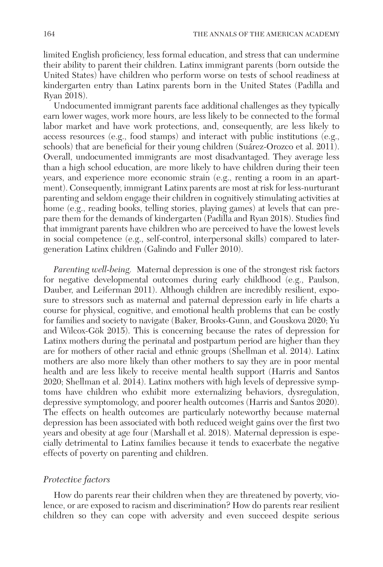limited English proficiency, less formal education, and stress that can undermine their ability to parent their children. Latinx immigrant parents (born outside the United States) have children who perform worse on tests of school readiness at kindergarten entry than Latinx parents born in the United States (Padilla and Ryan 2018).

Undocumented immigrant parents face additional challenges as they typically earn lower wages, work more hours, are less likely to be connected to the formal labor market and have work protections, and, consequently, are less likely to access resources (e.g., food stamps) and interact with public institutions (e.g., schools) that are beneficial for their young children (Suárez-Orozco et al. 2011). Overall, undocumented immigrants are most disadvantaged. They average less than a high school education, are more likely to have children during their teen years, and experience more economic strain (e.g., renting a room in an apartment). Consequently, immigrant Latinx parents are most at risk for less-nurturant parenting and seldom engage their children in cognitively stimulating activities at home (e.g., reading books, telling stories, playing games) at levels that can prepare them for the demands of kindergarten (Padilla and Ryan 2018). Studies find that immigrant parents have children who are perceived to have the lowest levels in social competence (e.g., self-control, interpersonal skills) compared to latergeneration Latinx children (Galindo and Fuller 2010).

*Parenting well-being.* Maternal depression is one of the strongest risk factors for negative developmental outcomes during early childhood (e.g., Paulson, Dauber, and Leiferman 2011). Although children are incredibly resilient, exposure to stressors such as maternal and paternal depression early in life charts a course for physical, cognitive, and emotional health problems that can be costly for families and society to navigate (Baker, Brooks-Gunn, and Gouskova 2020; Yu and Wilcox-Gök 2015). This is concerning because the rates of depression for Latinx mothers during the perinatal and postpartum period are higher than they are for mothers of other racial and ethnic groups (Shellman et al. 2014). Latinx mothers are also more likely than other mothers to say they are in poor mental health and are less likely to receive mental health support (Harris and Santos 2020; Shellman et al. 2014). Latinx mothers with high levels of depressive symptoms have children who exhibit more externalizing behaviors, dysregulation, depressive symptomology, and poorer health outcomes (Harris and Santos 2020). The effects on health outcomes are particularly noteworthy because maternal depression has been associated with both reduced weight gains over the first two years and obesity at age four (Marshall et al. 2018). Maternal depression is especially detrimental to Latinx families because it tends to exacerbate the negative effects of poverty on parenting and children.

#### *Protective factors*

How do parents rear their children when they are threatened by poverty, violence, or are exposed to racism and discrimination? How do parents rear resilient children so they can cope with adversity and even succeed despite serious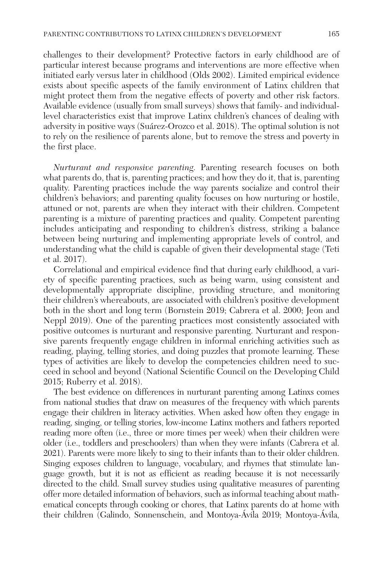challenges to their development? Protective factors in early childhood are of particular interest because programs and interventions are more effective when initiated early versus later in childhood (Olds 2002). Limited empirical evidence exists about specific aspects of the family environment of Latinx children that might protect them from the negative effects of poverty and other risk factors. Available evidence (usually from small surveys) shows that family- and individuallevel characteristics exist that improve Latinx children's chances of dealing with adversity in positive ways (Suárez-Orozco et al. 2018). The optimal solution is not to rely on the resilience of parents alone, but to remove the stress and poverty in the first place.

*Nurturant and responsive parenting.* Parenting research focuses on both what parents do, that is, parenting practices; and how they do it, that is, parenting quality. Parenting practices include the way parents socialize and control their children's behaviors; and parenting quality focuses on how nurturing or hostile, attuned or not, parents are when they interact with their children. Competent parenting is a mixture of parenting practices and quality. Competent parenting includes anticipating and responding to children's distress, striking a balance between being nurturing and implementing appropriate levels of control, and understanding what the child is capable of given their developmental stage (Teti et al. 2017).

Correlational and empirical evidence find that during early childhood, a variety of specific parenting practices, such as being warm, using consistent and developmentally appropriate discipline, providing structure, and monitoring their children's whereabouts, are associated with children's positive development both in the short and long term (Bornstein 2019; Cabrera et al. 2000; Jeon and Neppl 2019). One of the parenting practices most consistently associated with positive outcomes is nurturant and responsive parenting. Nurturant and responsive parents frequently engage children in informal enriching activities such as reading, playing, telling stories, and doing puzzles that promote learning. These types of activities are likely to develop the competencies children need to succeed in school and beyond (National Scientific Council on the Developing Child 2015; Ruberry et al. 2018).

The best evidence on differences in nurturant parenting among Latinxs comes from national studies that draw on measures of the frequency with which parents engage their children in literacy activities. When asked how often they engage in reading, singing, or telling stories, low-income Latinx mothers and fathers reported reading more often (i.e., three or more times per week) when their children were older (i.e., toddlers and preschoolers) than when they were infants (Cabrera et al. 2021). Parents were more likely to sing to their infants than to their older children. Singing exposes children to language, vocabulary, and rhymes that stimulate language growth, but it is not as efficient as reading because it is not necessarily directed to the child. Small survey studies using qualitative measures of parenting offer more detailed information of behaviors, such as informal teaching about mathematical concepts through cooking or chores, that Latinx parents do at home with their children (Galindo, Sonnenschein, and Montoya-Ávila 2019; Montoya-Ávila,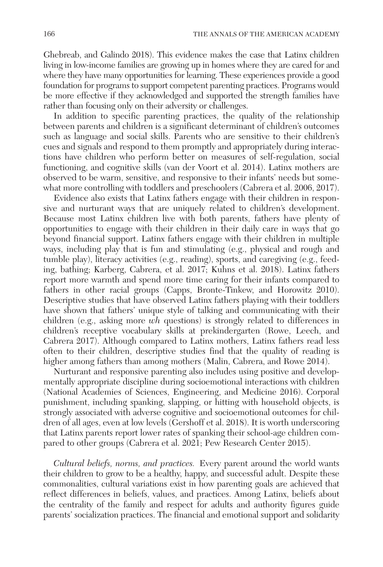Ghebreab, and Galindo 2018). This evidence makes the case that Latinx children living in low-income families are growing up in homes where they are cared for and where they have many opportunities for learning. These experiences provide a good foundation for programs to support competent parenting practices. Programs would be more effective if they acknowledged and supported the strength families have rather than focusing only on their adversity or challenges.

In addition to specific parenting practices, the quality of the relationship between parents and children is a significant determinant of children's outcomes such as language and social skills. Parents who are sensitive to their children's cues and signals and respond to them promptly and appropriately during interactions have children who perform better on measures of self-regulation, social functioning, and cognitive skills (van der Voort et al. 2014). Latinx mothers are observed to be warm, sensitive, and responsive to their infants' needs but somewhat more controlling with toddlers and preschoolers (Cabrera et al. 2006, 2017).

Evidence also exists that Latinx fathers engage with their children in responsive and nurturant ways that are uniquely related to children's development. Because most Latinx children live with both parents, fathers have plenty of opportunities to engage with their children in their daily care in ways that go beyond financial support. Latinx fathers engage with their children in multiple ways, including play that is fun and stimulating (e.g., physical and rough and tumble play), literacy activities (e.g., reading), sports, and caregiving (e.g., feeding, bathing; Karberg, Cabrera, et al. 2017; Kuhns et al. 2018). Latinx fathers report more warmth and spend more time caring for their infants compared to fathers in other racial groups (Capps, Bronte-Tinkew, and Horowitz 2010). Descriptive studies that have observed Latinx fathers playing with their toddlers have shown that fathers' unique style of talking and communicating with their children (e.g., asking more *wh* questions) is strongly related to differences in children's receptive vocabulary skills at prekindergarten (Rowe, Leech, and Cabrera 2017). Although compared to Latinx mothers, Latinx fathers read less often to their children, descriptive studies find that the quality of reading is higher among fathers than among mothers (Malin, Cabrera, and Rowe 2014).

Nurturant and responsive parenting also includes using positive and developmentally appropriate discipline during socioemotional interactions with children (National Academies of Sciences, Engineering, and Medicine 2016). Corporal punishment, including spanking, slapping, or hitting with household objects, is strongly associated with adverse cognitive and socioemotional outcomes for children of all ages, even at low levels (Gershoff et al. 2018). It is worth underscoring that Latinx parents report lower rates of spanking their school-age children compared to other groups (Cabrera et al. 2021; Pew Research Center 2015).

*Cultural beliefs, norms, and practices.* Every parent around the world wants their children to grow to be a healthy, happy, and successful adult. Despite these commonalities, cultural variations exist in how parenting goals are achieved that reflect differences in beliefs, values, and practices. Among Latinx, beliefs about the centrality of the family and respect for adults and authority figures guide parents' socialization practices. The financial and emotional support and solidarity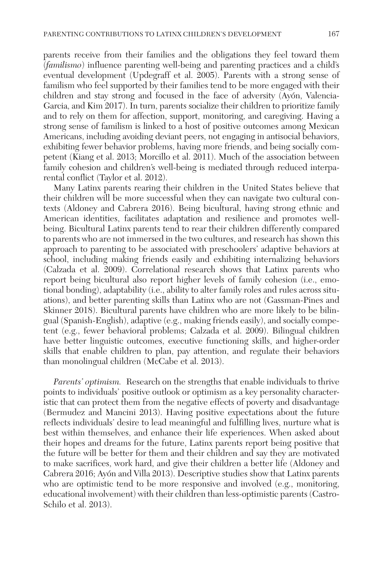parents receive from their families and the obligations they feel toward them (*familismo*) influence parenting well-being and parenting practices and a child's eventual development (Updegraff et al. 2005). Parents with a strong sense of familism who feel supported by their families tend to be more engaged with their children and stay strong and focused in the face of adversity (Ayón, Valencia-Garcia, and Kim 2017). In turn, parents socialize their children to prioritize family and to rely on them for affection, support, monitoring, and caregiving. Having a strong sense of familism is linked to a host of positive outcomes among Mexican Americans, including avoiding deviant peers, not engaging in antisocial behaviors, exhibiting fewer behavior problems, having more friends, and being socially competent (Kiang et al. 2013; Morcillo et al. 2011). Much of the association between family cohesion and children's well-being is mediated through reduced interparental conflict (Taylor et al. 2012).

Many Latinx parents rearing their children in the United States believe that their children will be more successful when they can navigate two cultural contexts (Aldoney and Cabrera 2016). Being bicultural, having strong ethnic and American identities, facilitates adaptation and resilience and promotes wellbeing. Bicultural Latinx parents tend to rear their children differently compared to parents who are not immersed in the two cultures, and research has shown this approach to parenting to be associated with preschoolers' adaptive behaviors at school, including making friends easily and exhibiting internalizing behaviors (Calzada et al. 2009). Correlational research shows that Latinx parents who report being bicultural also report higher levels of family cohesion (i.e., emotional bonding), adaptability (i.e., ability to alter family roles and rules across situations), and better parenting skills than Latinx who are not (Gassman-Pines and Skinner 2018). Bicultural parents have children who are more likely to be bilingual (Spanish-English), adaptive (e.g., making friends easily), and socially competent (e.g., fewer behavioral problems; Calzada et al. 2009). Bilingual children have better linguistic outcomes, executive functioning skills, and higher-order skills that enable children to plan, pay attention, and regulate their behaviors than monolingual children (McCabe et al. 2013).

*Parents' optimism.* Research on the strengths that enable individuals to thrive points to individuals' positive outlook or optimism as a key personality characteristic that can protect them from the negative effects of poverty and disadvantage (Bermudez and Mancini 2013). Having positive expectations about the future reflects individuals' desire to lead meaningful and fulfilling lives, nurture what is best within themselves, and enhance their life experiences. When asked about their hopes and dreams for the future, Latinx parents report being positive that the future will be better for them and their children and say they are motivated to make sacrifices, work hard, and give their children a better life (Aldoney and Cabrera 2016; Ayón and Villa 2013). Descriptive studies show that Latinx parents who are optimistic tend to be more responsive and involved (e.g., monitoring, educational involvement) with their children than less-optimistic parents (Castro-Schilo et al. 2013).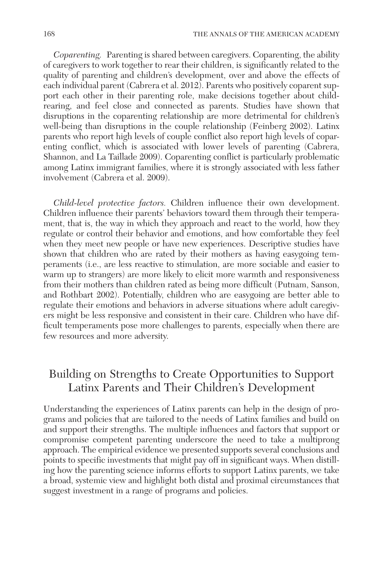*Coparenting.* Parenting is shared between caregivers. Coparenting, the ability of caregivers to work together to rear their children, is significantly related to the quality of parenting and children's development, over and above the effects of each individual parent (Cabrera et al. 2012). Parents who positively coparent support each other in their parenting role, make decisions together about childrearing, and feel close and connected as parents. Studies have shown that disruptions in the coparenting relationship are more detrimental for children's well-being than disruptions in the couple relationship (Feinberg 2002). Latinx parents who report high levels of couple conflict also report high levels of coparenting conflict, which is associated with lower levels of parenting (Cabrera, Shannon, and La Taillade 2009). Coparenting conflict is particularly problematic among Latinx immigrant families, where it is strongly associated with less father involvement (Cabrera et al. 2009).

*Child-level protective factors.* Children influence their own development. Children influence their parents' behaviors toward them through their temperament, that is, the way in which they approach and react to the world, how they regulate or control their behavior and emotions, and how comfortable they feel when they meet new people or have new experiences. Descriptive studies have shown that children who are rated by their mothers as having easygoing temperaments (i.e., are less reactive to stimulation, are more sociable and easier to warm up to strangers) are more likely to elicit more warmth and responsiveness from their mothers than children rated as being more difficult (Putnam, Sanson, and Rothbart 2002). Potentially, children who are easygoing are better able to regulate their emotions and behaviors in adverse situations where adult caregivers might be less responsive and consistent in their care. Children who have difficult temperaments pose more challenges to parents, especially when there are few resources and more adversity.

# Building on Strengths to Create Opportunities to Support Latinx Parents and Their Children's Development

Understanding the experiences of Latinx parents can help in the design of programs and policies that are tailored to the needs of Latinx families and build on and support their strengths. The multiple influences and factors that support or compromise competent parenting underscore the need to take a multiprong approach. The empirical evidence we presented supports several conclusions and points to specific investments that might pay off in significant ways. When distilling how the parenting science informs efforts to support Latinx parents, we take a broad, systemic view and highlight both distal and proximal circumstances that suggest investment in a range of programs and policies.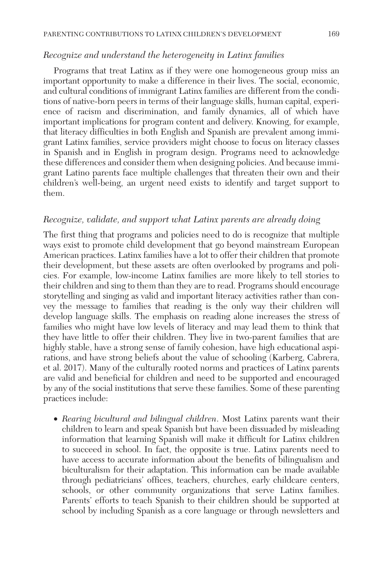#### *Recognize and understand the heterogeneity in Latinx families*

Programs that treat Latinx as if they were one homogeneous group miss an important opportunity to make a difference in their lives. The social, economic, and cultural conditions of immigrant Latinx families are different from the conditions of native-born peers in terms of their language skills, human capital, experience of racism and discrimination, and family dynamics, all of which have important implications for program content and delivery. Knowing, for example, that literacy difficulties in both English and Spanish are prevalent among immigrant Latinx families, service providers might choose to focus on literacy classes in Spanish and in English in program design. Programs need to acknowledge these differences and consider them when designing policies. And because immigrant Latino parents face multiple challenges that threaten their own and their children's well-being, an urgent need exists to identify and target support to them.

#### *Recognize, validate, and support what Latinx parents are already doing*

The first thing that programs and policies need to do is recognize that multiple ways exist to promote child development that go beyond mainstream European American practices. Latinx families have a lot to offer their children that promote their development, but these assets are often overlooked by programs and policies. For example, low-income Latinx families are more likely to tell stories to their children and sing to them than they are to read. Programs should encourage storytelling and singing as valid and important literacy activities rather than convey the message to families that reading is the only way their children will develop language skills. The emphasis on reading alone increases the stress of families who might have low levels of literacy and may lead them to think that they have little to offer their children. They live in two-parent families that are highly stable, have a strong sense of family cohesion, have high educational aspirations, and have strong beliefs about the value of schooling (Karberg, Cabrera, et al. 2017). Many of the culturally rooted norms and practices of Latinx parents are valid and beneficial for children and need to be supported and encouraged by any of the social institutions that serve these families. Some of these parenting practices include:

• *Rearing bicultural and bilingual children*. Most Latinx parents want their children to learn and speak Spanish but have been dissuaded by misleading information that learning Spanish will make it difficult for Latinx children to succeed in school. In fact, the opposite is true. Latinx parents need to have access to accurate information about the benefits of bilingualism and biculturalism for their adaptation. This information can be made available through pediatricians' offices, teachers, churches, early childcare centers, schools, or other community organizations that serve Latinx families. Parents' efforts to teach Spanish to their children should be supported at school by including Spanish as a core language or through newsletters and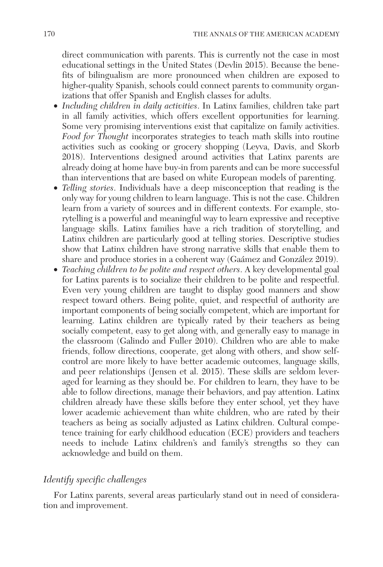direct communication with parents. This is currently not the case in most educational settings in the United States (Devlin 2015). Because the benefits of bilingualism are more pronounced when children are exposed to higher-quality Spanish, schools could connect parents to community organizations that offer Spanish and English classes for adults.

- *Including children in daily activities*. In Latinx families, children take part in all family activities, which offers excellent opportunities for learning. Some very promising interventions exist that capitalize on family activities. *Food for Thought* incorporates strategies to teach math skills into routine activities such as cooking or grocery shopping (Leyva, Davis, and Skorb 2018). Interventions designed around activities that Latinx parents are already doing at home have buy-in from parents and can be more successful than interventions that are based on white European models of parenting.
- *Telling stories*. Individuals have a deep misconception that reading is the only way for young children to learn language. This is not the case. Children learn from a variety of sources and in different contexts. For example, storytelling is a powerful and meaningful way to learn expressive and receptive language skills. Latinx families have a rich tradition of storytelling, and Latinx children are particularly good at telling stories. Descriptive studies show that Latinx children have strong narrative skills that enable them to share and produce stories in a coherent way (Gaámez and González 2019).
- *Teaching children to be polite and respect others*. A key developmental goal for Latinx parents is to socialize their children to be polite and respectful. Even very young children are taught to display good manners and show respect toward others. Being polite, quiet, and respectful of authority are important components of being socially competent, which are important for learning. Latinx children are typically rated by their teachers as being socially competent, easy to get along with, and generally easy to manage in the classroom (Galindo and Fuller 2010). Children who are able to make friends, follow directions, cooperate, get along with others, and show selfcontrol are more likely to have better academic outcomes, language skills, and peer relationships (Jensen et al. 2015). These skills are seldom leveraged for learning as they should be. For children to learn, they have to be able to follow directions, manage their behaviors, and pay attention. Latinx children already have these skills before they enter school, yet they have lower academic achievement than white children, who are rated by their teachers as being as socially adjusted as Latinx children. Cultural competence training for early childhood education (ECE) providers and teachers needs to include Latinx children's and family's strengths so they can acknowledge and build on them.

### *Identify specific challenges*

For Latinx parents, several areas particularly stand out in need of consideration and improvement.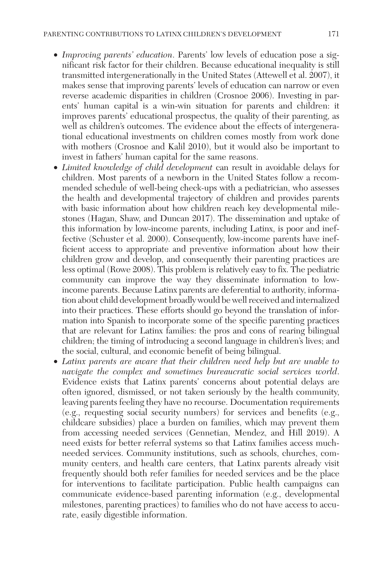- *Improving parents' education*. Parents' low levels of education pose a significant risk factor for their children. Because educational inequality is still transmitted intergenerationally in the United States (Attewell et al. 2007), it makes sense that improving parents' levels of education can narrow or even reverse academic disparities in children (Crosnoe 2006). Investing in parents' human capital is a win-win situation for parents and children: it improves parents' educational prospectus, the quality of their parenting, as well as children's outcomes. The evidence about the effects of intergenerational educational investments on children comes mostly from work done with mothers (Crosnoe and Kalil 2010), but it would also be important to invest in fathers' human capital for the same reasons.
- *Limited knowledge of child development* can result in avoidable delays for children. Most parents of a newborn in the United States follow a recommended schedule of well-being check-ups with a pediatrician, who assesses the health and developmental trajectory of children and provides parents with basic information about how children reach key developmental milestones (Hagan, Shaw, and Duncan 2017). The dissemination and uptake of this information by low-income parents, including Latinx, is poor and ineffective (Schuster et al. 2000). Consequently, low-income parents have inefficient access to appropriate and preventive information about how their children grow and develop, and consequently their parenting practices are less optimal (Rowe 2008). This problem is relatively easy to fix. The pediatric community can improve the way they disseminate information to lowincome parents. Because Latinx parents are deferential to authority, information about child development broadly would be well received and internalized into their practices. These efforts should go beyond the translation of information into Spanish to incorporate some of the specific parenting practices that are relevant for Latinx families: the pros and cons of rearing bilingual children; the timing of introducing a second language in children's lives; and the social, cultural, and economic benefit of being bilingual.
- *Latinx parents are aware that their children need help but are unable to navigate the complex and sometimes bureaucratic social services world*. Evidence exists that Latinx parents' concerns about potential delays are often ignored, dismissed, or not taken seriously by the health community, leaving parents feeling they have no recourse. Documentation requirements (e.g., requesting social security numbers) for services and benefits (e.g., childcare subsidies) place a burden on families, which may prevent them from accessing needed services (Gennetian, Mendez, and Hill 2019). A need exists for better referral systems so that Latinx families access muchneeded services. Community institutions, such as schools, churches, community centers, and health care centers, that Latinx parents already visit frequently should both refer families for needed services and be the place for interventions to facilitate participation. Public health campaigns can communicate evidence-based parenting information (e.g., developmental milestones, parenting practices) to families who do not have access to accurate, easily digestible information.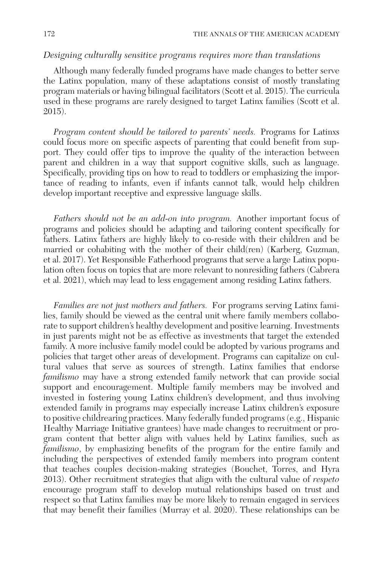## *Designing culturally sensitive programs requires more than translations*

Although many federally funded programs have made changes to better serve the Latinx population, many of these adaptations consist of mostly translating program materials or having bilingual facilitators (Scott et al. 2015). The curricula used in these programs are rarely designed to target Latinx families (Scott et al. 2015).

*Program content should be tailored to parents' needs.* Programs for Latinxs could focus more on specific aspects of parenting that could benefit from support. They could offer tips to improve the quality of the interaction between parent and children in a way that support cognitive skills, such as language. Specifically, providing tips on how to read to toddlers or emphasizing the importance of reading to infants, even if infants cannot talk, would help children develop important receptive and expressive language skills.

*Fathers should not be an add-on into program.* Another important focus of programs and policies should be adapting and tailoring content specifically for fathers. Latinx fathers are highly likely to co-reside with their children and be married or cohabiting with the mother of their child(ren) (Karberg, Guzman, et al. 2017). Yet Responsible Fatherhood programs that serve a large Latinx population often focus on topics that are more relevant to nonresiding fathers (Cabrera et al. 2021), which may lead to less engagement among residing Latinx fathers.

*Families are not just mothers and fathers.* For programs serving Latinx families, family should be viewed as the central unit where family members collaborate to support children's healthy development and positive learning. Investments in just parents might not be as effective as investments that target the extended family. A more inclusive family model could be adopted by various programs and policies that target other areas of development. Programs can capitalize on cultural values that serve as sources of strength. Latinx families that endorse *familismo* may have a strong extended family network that can provide social support and encouragement. Multiple family members may be involved and invested in fostering young Latinx children's development, and thus involving extended family in programs may especially increase Latinx children's exposure to positive childrearing practices. Many federally funded programs (e.g., Hispanic Healthy Marriage Initiative grantees) have made changes to recruitment or program content that better align with values held by Latinx families, such as *familismo*, by emphasizing benefits of the program for the entire family and including the perspectives of extended family members into program content that teaches couples decision-making strategies (Bouchet, Torres, and Hyra 2013). Other recruitment strategies that align with the cultural value of *respeto* encourage program staff to develop mutual relationships based on trust and respect so that Latinx families may be more likely to remain engaged in services that may benefit their families (Murray et al. 2020). These relationships can be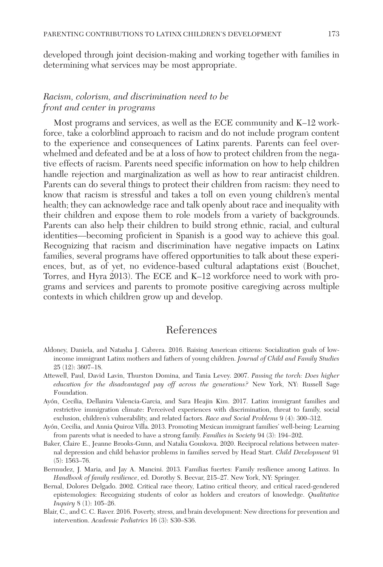developed through joint decision-making and working together with families in determining what services may be most appropriate.

## *Racism, colorism, and discrimination need to be front and center in programs*

Most programs and services, as well as the ECE community and K–12 workforce, take a colorblind approach to racism and do not include program content to the experience and consequences of Latinx parents. Parents can feel overwhelmed and defeated and be at a loss of how to protect children from the negative effects of racism. Parents need specific information on how to help children handle rejection and marginalization as well as how to rear antiracist children. Parents can do several things to protect their children from racism: they need to know that racism is stressful and takes a toll on even young children's mental health; they can acknowledge race and talk openly about race and inequality with their children and expose them to role models from a variety of backgrounds. Parents can also help their children to build strong ethnic, racial, and cultural identities—becoming proficient in Spanish is a good way to achieve this goal. Recognizing that racism and discrimination have negative impacts on Latinx families, several programs have offered opportunities to talk about these experiences, but, as of yet, no evidence-based cultural adaptations exist (Bouchet, Torres, and Hyra 2013). The ECE and K–12 workforce need to work with programs and services and parents to promote positive caregiving across multiple contexts in which children grow up and develop.

## References

- Aldoney, Daniela, and Natasha J. Cabrera. 2016. Raising American citizens: Socialization goals of lowincome immigrant Latinx mothers and fathers of young children. *Journal of Child and Family Studies* 25 (12): 3607–18.
- Attewell, Paul, David Lavin, Thurston Domina, and Tania Levey. 2007. *Passing the torch: Does higher education for the disadvantaged pay off across the generations?* New York, NY: Russell Sage Foundation.
- Ayón, Cecilia, Dellanira Valencia-Garcia, and Sara Heajin Kim. 2017. Latinx immigrant families and restrictive immigration climate: Perceived experiences with discrimination, threat to family, social exclusion, children's vulnerability, and related factors. *Race and Social Problems* 9 (4): 300–312.
- Ayón, Cecilia, and Annia Quiroz Villa. 2013. Promoting Mexican immigrant families' well-being: Learning from parents what is needed to have a strong family. *Families in Society* 94 (3): 194–202.
- Baker, Claire E., Jeanne Brooks-Gunn, and Natalia Gouskova. 2020. Reciprocal relations between maternal depression and child behavior problems in families served by Head Start. *Child Development* 91 (5): 1563–76.
- Bermudez, J. Maria, and Jay A. Mancini. 2013. Familias fuertes: Family resilience among Latinxs. In *Handbook of family resilience*, ed. Dorothy S. Becvar, 215–27. New York, NY: Springer.
- Bernal, Dolores Delgado. 2002. Critical race theory, Latino critical theory, and critical raced-gendered epistemologies: Recognizing students of color as holders and creators of knowledge. *Qualitative Inquiry* 8 (1): 105–26.
- Blair, C., and C. C. Raver. 2016. Poverty, stress, and brain development: New directions for prevention and intervention. *Academic Pediatrics* 16 (3): S30–S36.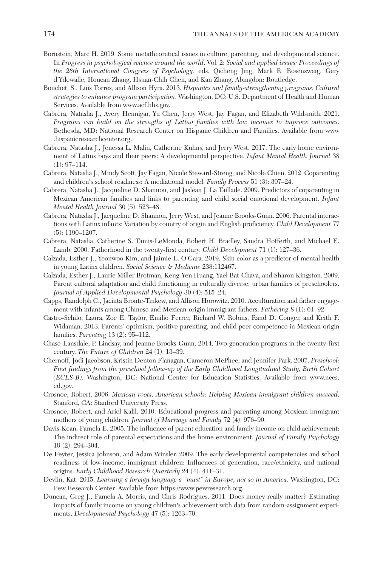- Bornstein, Marc H. 2019. Some metatheoretical issues in culture, parenting, and developmental science. In *Progress in psychological science around the world*. Vol. 2: *Social and applied issues: Proceedings of the 28th International Congress of Psychology*, eds. Qicheng Jing, Mark R. Rosenzweig, Gery d'Ydewalle, Houcan Zhang, Hsuan-Chih Chen, and Kan Zhang. Abingdon: Routledge.
- Bouchet, S., Luis Torres, and Allison Hyra. 2013. *Hispanics and family-strengthening programs: Cultural strategies to enhance program participation*. Washington, DC: U.S. Department of Health and Human Services. Available from <www.acf.hhs.gov>.
- Cabrera, Natasha J., Avery Hennigar, Yu Chen, Jerry West, Jay Fagan, and Elizabeth Wildsmith. 2021. *Programs can build on the strengths of Latino families with low incomes to improve outcomes*. Bethesda, MD: National Research Center on Hispanic Children and Families. Available from [www](www.hispanicresearchcenter.org) [.hispanicresearchcenter.org](www.hispanicresearchcenter.org).
- Cabrera, Natasha J., Jenessa L. Malin, Catherine Kuhns, and Jerry West. 2017. The early home environment of Latinx boys and their peers: A developmental perspective. *Infant Mental Health Journal* 38 (1): 97–114.
- Cabrera, Natasha J., Mindy Scott, Jay Fagan, Nicole Steward-Streng, and Nicole Chien. 2012. Coparenting and children's school readiness: A mediational model. *Family Process* 51 (3): 307–24.
- Cabrera, Natasha J., Jacqueline D. Shannon, and Jaslean J. La Taillade. 2009. Predictors of coparenting in Mexican American families and links to parenting and child social emotional development. *Infant Mental Health Journal* 30 (5): 523–48.
- Cabrera, Natasha J., Jacqueline D. Shannon, Jerry West, and Jeanne Brooks-Gunn. 2006. Parental interactions with Latinx infants: Variation by country of origin and English proficiency. *Child Development* 77 (5): 1190–1207.
- Cabrera, Natasha, Catherine S. Tamis-LeMonda, Robert H. Bradley, Sandra Hofferth, and Michael E. Lamb. 2000. Fatherhood in the twenty-first century. *Child Development* 71 (1): 127–36.
- Calzada, Esther J., Yeonwoo Kim, and Jaimie L. O'Gara. 2019. Skin color as a predictor of mental health in young Latinx children. *Social Science & Medicine* 238:112467.
- Calzada, Esther J., Laurie Miller Brotman, Keng-Yen Huang, Yael Bat-Chava, and Sharon Kingston. 2009. Parent cultural adaptation and child functioning in culturally diverse, urban families of preschoolers. *Journal of Applied Developmental Psychology* 30 (4): 515–24.
- Capps, Randolph C., Jacinta Bronte-Tinkew, and Allison Horowitz. 2010. Acculturation and father engagement with infants among Chinese and Mexican-origin immigrant fathers. *Fathering* 8 (1): 61–92.
- Castro-Schilo, Laura, Zoe E. Taylor, Emilio Ferrer, Richard W. Robins, Rand D. Conger, and Keith F. Widaman. 2013. Parents' optimism, positive parenting, and child peer competence in Mexican-origin families. *Parenting* 13 (2): 95–112.
- Chase-Lansdale, P. Lindsay, and Jeanne Brooks-Gunn. 2014. Two-generation programs in the twenty-first century. *The Future of Children* 24 (1): 13–39.
- Chernoff, Jodi Jacobson, Kristin Denton Flanagan, Cameron McPhee, and Jennifer Park. 2007. *Preschool: First findings from the preschool follow-up of the Early Childhood Longitudinal Study, Birth Cohort (ECLS-B)*. Washington, DC: National Center for Education Statistics. Available from [www.nces.](www.nces.ed.gov) [ed.gov.](www.nces.ed.gov)
- Crosnoe, Robert. 2006. *Mexican roots, American schools: Helping Mexican immigrant children succeed*. Stanford, CA: Stanford University Press.
- Crosnoe, Robert, and Ariel Kalil. 2010. Educational progress and parenting among Mexican immigrant mothers of young children. *Journal of Marriage and Family* 72 (4): 976–90.
- Davis-Kean, Pamela E. 2005. The influence of parent education and family income on child achievement: The indirect role of parental expectations and the home environment. *Journal of Family Psychology* 19 (2): 294–304.
- De Feyter, Jessica Johnson, and Adam Winsler. 2009. The early developmental competencies and school readiness of low-income, immigrant children: Influences of generation, race/ethnicity, and national origins. *Early Childhood Research Quarterly* 24 (4): 411–31.
- Devlin, Kat. 2015. *Learning a foreign language a "must" in Europe, not so in America*. Washington, DC: Pew Research Center. Available from <https://www.pewresearch.org>.
- Duncan, Greg J., Pamela A. Morris, and Chris Rodrigues. 2011. Does money really matter? Estimating impacts of family income on young children's achievement with data from random-assignment experiments. *Developmental Psychology* 47 (5): 1263–79.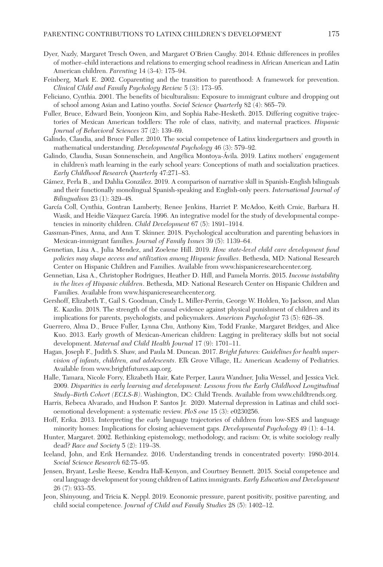- Dyer, Nazly, Margaret Tresch Owen, and Margaret O'Brien Caughy. 2014. Ethnic differences in profiles of mother–child interactions and relations to emerging school readiness in African American and Latin American children. *Parenting* 14 (3-4): 175–94.
- Feinberg, Mark E. 2002. Coparenting and the transition to parenthood: A framework for prevention. *Clinical Child and Family Psychology Review* 5 (3): 173–95.
- Feliciano, Cynthia. 2001. The benefits of biculturalism: Exposure to immigrant culture and dropping out of school among Asian and Latino youths. *Social Science Quarterly* 82 (4): 865–79.
- Fuller, Bruce, Edward Bein, Yoonjeon Kim, and Sophia Rabe-Hesketh. 2015. Differing cognitive trajectories of Mexican American toddlers: The role of class, nativity, and maternal practices. *Hispanic Journal of Behavioral Sciences* 37 (2): 139–69.
- Galindo, Claudia, and Bruce Fuller. 2010. The social competence of Latinx kindergartners and growth in mathematical understanding. *Developmental Psychology* 46 (3): 579–92.
- Galindo, Claudia, Susan Sonnenschein, and Angélica Montoya-Ávila. 2019. Latinx mothers' engagement in children's math learning in the early school years: Conceptions of math and socialization practices. *Early Childhood Research Quarterly* 47:271–83.
- Gámez, Perla B., and Dahlia González. 2019. A comparison of narrative skill in Spanish-English bilinguals and their functionally monolingual Spanish-speaking and English-only peers. *International Journal of Bilingualism* 23 (1): 329–48.
- García Coll, Cynthia, Gontran Lamberty, Renee Jenkins, Harriet P. McAdoo, Keith Crnic, Barbara H. Wasik, and Heidie Vázquez García. 1996. An integrative model for the study of developmental competencies in minority children. *Child Development* 67 (5): 1891–1914.
- Gassman-Pines, Anna, and Ann T. Skinner. 2018. Psychological acculturation and parenting behaviors in Mexican-immigrant families. *Journal of Family Issues* 39 (5): 1139–64.
- Gennetian, Lisa A., Julia Mendez, and Zoelene Hill. 2019. *How state-level child care development fund policies may shape access and utilization among Hispanic families*. Bethesda, MD: National Research Center on Hispanic Children and Families. Available from <www.hispanicresearchcenter.org>.
- Gennetian, Lisa A., Christopher Rodrigues, Heather D. Hill, and Pamela Morris. 2015. *Income instability in the lives of Hispanic children*. Bethesda, MD: National Research Center on Hispanic Children and Families. Available from [www.hispanicresearchcenter.org.](www.hispanicresearchcenter.org)
- Gershoff, Elizabeth T., Gail S. Goodman, Cindy L. Miller-Perrin, George W. Holden, Yo Jackson, and Alan E. Kazdin. 2018. The strength of the causal evidence against physical punishment of children and its implications for parents, psychologists, and policymakers. *American Psychologist* 73 (5): 626–38.
- Guerrero, Alma D., Bruce Fuller, Lynna Chu, Anthony Kim, Todd Franke, Margaret Bridges, and Alice Kuo. 2013. Early growth of Mexican-American children: Lagging in preliteracy skills but not social development. *Maternal and Child Health Journal* 17 (9): 1701–11.
- Hagan, Joseph F., Judith S. Shaw, and Paula M. Duncan. 2017. *Bright futures: Guidelines for health supervision of infants, children, and adolescents*. Elk Grove Village, IL: American Academy of Pediatrics. Available from [www.brightfutures.aap.org.](www.brightfutures.aap.org)
- Halle, Tamara, Nicole Forry, Elizabeth Hair, Kate Perper, Laura Wandner, Julia Wessel, and Jessica Vick. 2009. *Disparities in early learning and development: Lessons from the Early Childhood Longitudinal Study–Birth Cohort (ECLS-B)*. Washington, DC: Child Trends. Available from <www.childtrends.org>.
- Harris, Rebeca Alvarado, and Hudson P. Santos Jr. 2020. Maternal depression in Latinas and child socioemotional development: a systematic review. *PloS one* 15 (3): e0230256.
- Hoff, Erika. 2013. Interpreting the early language trajectories of children from low-SES and language minority homes: Implications for closing achievement gaps. *Developmental Psychology* 49 (1): 4–14.
- Hunter, Margaret. 2002. Rethinking epistemology, methodology, and racism: Or, is white sociology really dead? *Race and Society* 5 (2): 119–38.
- Iceland, John, and Erik Hernandez. 2016. Understanding trends in concentrated poverty: 1980-2014. *Social Science Research* 62:75–95.
- Jensen, Bryant, Leslie Reese, Kendra Hall-Kenyon, and Courtney Bennett. 2015. Social competence and oral language development for young children of Latinx immigrants. *Early Education and Development* 26 (7): 933–55.
- Jeon, Shinyoung, and Tricia K. Neppl. 2019. Economic pressure, parent positivity, positive parenting, and child social competence. *Journal of Child and Family Studies* 28 (5): 1402–12.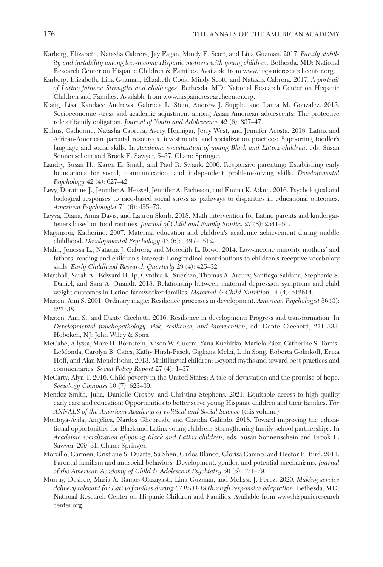- Karberg, Elizabeth, Natasha Cabrera, Jay Fagan, Mindy E. Scott, and Lina Guzman. 2017. *Family stability and instability among low-income Hispanic mothers with young children*. Bethesda, MD: National Research Center on Hispanic Children & Families. Available from [www.hispanicresearchcenter.org.](www.hispanicresearchcenter.org)
- Karberg, Elizabeth, Lina Guzman, Elizabeth Cook, Mindy Scott, and Natasha Cabrera. 2017. *A portrait of Latino fathers: Strengths and challenges*. Bethesda, MD: National Research Center on Hispanic Children and Families. Available from [www.hispanicresearchcenter.org.](www.hispanicresearchcenter.org)
- Kiang, Lisa, Kandace Andrews, Gabriela L. Stein, Andrew J. Supple, and Laura M. Gonzalez. 2013. Socioeconomic stress and academic adjustment among Asian American adolescents: The protective role of family obligation. *Journal of Youth and Adolescence* 42 (6): 837–47.
- Kuhns, Catherine, Natasha Cabrera, Avery Hennigar, Jerry West, and Jennifer Acosta. 2018. Latinx and African-American parental resources, investments, and socialization practices: Supporting toddler's language and social skills. In *Academic socialization of young Black and Latinx children*, eds. Susan Sonnenschein and Brook E. Sawyer, 5–37. Cham: Springer.
- Landry, Susan H., Karen E. Smith, and Paul R. Swank. 2006. Responsive parenting: Establishing early foundations for social, communication, and independent problem-solving skills. *Developmental Psychology* 42 (4): 627–42.
- Levy, Dorainne J., Jennifer A. Heissel, Jennifer A. Richeson, and Emma K. Adam. 2016. Psychological and biological responses to race-based social stress as pathways to disparities in educational outcomes. *American Psychologist* 71 (6): 455–73.
- Leyva, Diana, Anna Davis, and Lauren Skorb. 2018. Math intervention for Latino parents and kindergarteners based on food routines. *Journal of Child and Family Studies* 27 (8): 2541–51.
- Magnuson, Katherine. 2007. Maternal education and children's academic achievement during middle childhood. *Developmental Psychology* 43 (6): 1497–1512.
- Malin, Jenessa L., Natasha J. Cabrera, and Meredith L. Rowe. 2014. Low-income minority mothers' and fathers' reading and children's interest: Longitudinal contributions to children's receptive vocabulary skills. *Early Childhood Research Quarterly* 29 (4): 425–32.
- Marshall, Sarah A., Edward H. Ip, Cynthia K. Suerken, Thomas A. Arcury, Santiago Saldana, Stephanie S. Daniel, and Sara A. Quandt. 2018. Relationship between maternal depression symptoms and child weight outcomes in Latino farmworker families. *Maternal & Child Nutrition* 14 (4): e12614.
- Masten, Ann S. 2001. Ordinary magic: Resilience processes in development. *American Psychologist* 56 (3): 227–38.
- Masten, Ann S., and Dante Cicchetti. 2016. Resilience in development: Progress and transformation. In *Developmental psychopathology, risk, resilience, and intervention*, ed. Dante Cicchetti, 271–333. Hoboken, NJ: John Wiley & Sons.
- McCabe, Allyssa, Marc H. Bornstein, Alison W. Guerra, Yana Kuchirko, Mariela Páez, Catherine S. Tamis-LeMonda, Carolyn B. Cates, Kathy Hirsh-Pasek, Gigliana Melzi, Lulu Song, Roberta Golinkoff, Erika Hoff, and Alan Mendelsohn. 2013. Multilingual children: Beyond myths and toward best practices and commentaries. *Social Policy Report* 27 (4): 1–37.
- McCarty, Alyn T. 2016. Child poverty in the United States: A tale of devastation and the promise of hope. *Sociology Compass* 10 (7): 623–39.
- Mendez Smith, Julia, Danielle Crosby, and Christina Stephens. 2021. Equitable access to high-quality early care and education: Opportunities to better serve young Hispanic children and their families. *The ANNALS of the American Academy of Political and Social Science* (this volume).
- Montoya-Ávila, Angélica, Nardos Ghebreab, and Claudia Galindo. 2018. Toward improving the educational opportunities for Black and Latinx young children: Strengthening family-school partnerships. In *Academic socialization of young Black and Latinx children*, eds. Susan Sonnenschein and Brook E. Sawyer, 209–31. Cham: Springer.
- Morcillo, Carmen, Cristiane S. Duarte, Sa Shen, Carlos Blanco, Glorisa Canino, and Hector R. Bird. 2011. Parental familism and antisocial behaviors: Development, gender, and potential mechanisms. *Journal of the American Academy of Child & Adolescent Psychiatry* 50 (5): 471–79.
- Murray, Desiree, Maria A. Ramos-Olazagasti, Lina Guzman, and Melissa J. Perez. 2020. *Making service delivery relevant for Latino families during COVID-19 through responsive adaptation*. Bethesda, MD: National Research Center on Hispanic Children and Families. Available from [www.hispanicresearch](www.hispanicresearchcenter.org) [center.org](www.hispanicresearchcenter.org).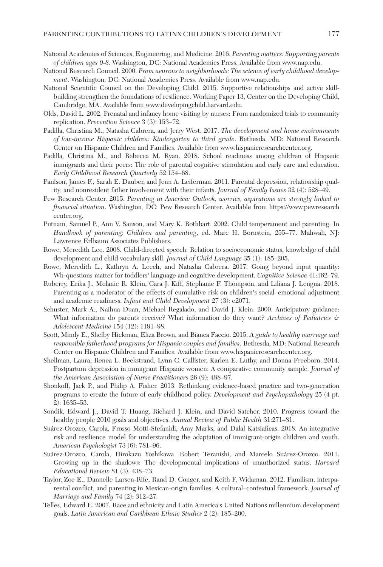- National Academies of Sciences, Engineering, and Medicine. 2016. *Parenting matters: Supporting parents of children ages 0-8*. Washington, DC: National Academies Press. Available from <www.nap.edu>.
- National Research Council. 2000. *From neurons to neighborhoods: The science of early childhood development*. Washington, DC: National Academies Press. Available from <www.nap.edu>.
- National Scientific Council on the Developing Child. 2015. Supportive relationships and active skillbuilding strengthen the foundations of resilience. Working Paper 13, Center on the Developing Child, Cambridge, MA. Available from<www.developingchild.harvard.edu>.
- Olds, David L. 2002. Prenatal and infancy home visiting by nurses: From randomized trials to community replication. *Prevention Science* 3 (3): 153–72.
- Padilla, Christina M., Natasha Cabrera, and Jerry West. 2017. *The development and home environments of low-income Hispanic children: Kindergarten to third grade*. Bethesda, MD: National Research Center on Hispanic Children and Families. Available from <www.hispanicresearchcenter.org>.
- Padilla, Christina M., and Rebecca M. Ryan. 2018. School readiness among children of Hispanic immigrants and their peers: The role of parental cognitive stimulation and early care and education. *Early Childhood Research Quarterly* 52:154–68.
- Paulson, James F., Sarah E. Dauber, and Jenn A. Leiferman. 2011. Parental depression, relationship quality, and nonresident father involvement with their infants. *Journal of Family Issues* 32 (4): 528–49.
- Pew Research Center. 2015. *Parenting in America: Outlook, worries, aspirations are strongly linked to financial situation*. Washington, DC: Pew Research Center. Available from [https://www.pewresearch](https://www.pewresearchcenter.org) [center.org](https://www.pewresearchcenter.org).
- Putnam, Samuel P., Ann V. Sanson, and Mary K. Rothbart. 2002. Child temperament and parenting. In *Handbook of parenting: Children and parenting*, ed. Marc H. Bornstein, 255–77. Mahwah, NJ: Lawrence Erlbaum Associates Publishers.
- Rowe, Meredith Lee. 2008. Child-directed speech: Relation to socioeconomic status, knowledge of child development and child vocabulary skill. *Journal of Child Language* 35 (1): 185–205.
- Rowe, Meredith L., Kathryn A. Leech, and Natasha Cabrera. 2017. Going beyond input quantity: Wh-questions matter for toddlers' language and cognitive development. *Cognitive Science* 41:162–79.
- Ruberry, Erika J., Melanie R. Klein, Cara J. Kiff, Stephanie F. Thompson, and Liliana J. Lengua. 2018. Parenting as a moderator of the effects of cumulative risk on children's social–emotional adjustment and academic readiness. *Infant and Child Development* 27 (3): e2071.
- Schuster, Mark A., Naihua Duan, Michael Regalado, and David J. Klein. 2000. Anticipatory guidance: What information do parents receive? What information do they want? *Archives of Pediatrics & Adolescent Medicine* 154 (12): 1191–98.
- Scott, Mindy E., Shelby Hickman, Eliza Brown, and Bianca Faccio. 2015. *A guide to healthy marriage and responsible fatherhood programs for Hispanic couples and families*. Bethesda, MD: National Research Center on Hispanic Children and Families. Available from <www.hispanicresearchcenter.org>.
- Shellman, Laura, Renea L. Beckstrand, Lynn C. Callister, Karlen E. Luthy, and Donna Freeborn. 2014. Postpartum depression in immigrant Hispanic women: A comparative community sample. *Journal of the American Association of Nurse Practitioners* 26 (9): 488–97.
- Shonkoff, Jack P., and Philip A. Fisher. 2013. Rethinking evidence-based practice and two-generation programs to create the future of early childhood policy. *Development and Psychopathology* 25 (4 pt. 2): 1635–53.
- Sondik, Edward J., David T. Huang, Richard J. Klein, and David Satcher. 2010. Progress toward the healthy people 2010 goals and objectives. *Annual Review of Public Health* 31:271–81.
- Suárez-Orozco, Carola, Frosso Motti-Stefanidi, Amy Marks, and Dalal Katsiaficas. 2018. An integrative risk and resilience model for understanding the adaptation of immigrant-origin children and youth. *American Psychologist* 73 (6): 781–96.
- Suárez-Orozco, Carola, Hirokazu Yoshikawa, Robert Teranishi, and Marcelo Suárez-Orozco. 2011. Growing up in the shadows: The developmental implications of unauthorized status. *Harvard Educational Review* 81 (3): 438–73.
- Taylor, Zoe E., Dannelle Larsen-Rife, Rand D. Conger, and Keith F. Widaman. 2012. Familism, interparental conflict, and parenting in Mexican-origin families: A cultural–contextual framework. *Journal of Marriage and Family* 74 (2): 312–27.
- Telles, Edward E. 2007. Race and ethnicity and Latin America's United Nations millennium development goals. *Latin American and Caribbean Ethnic Studies* 2 (2): 185–200.